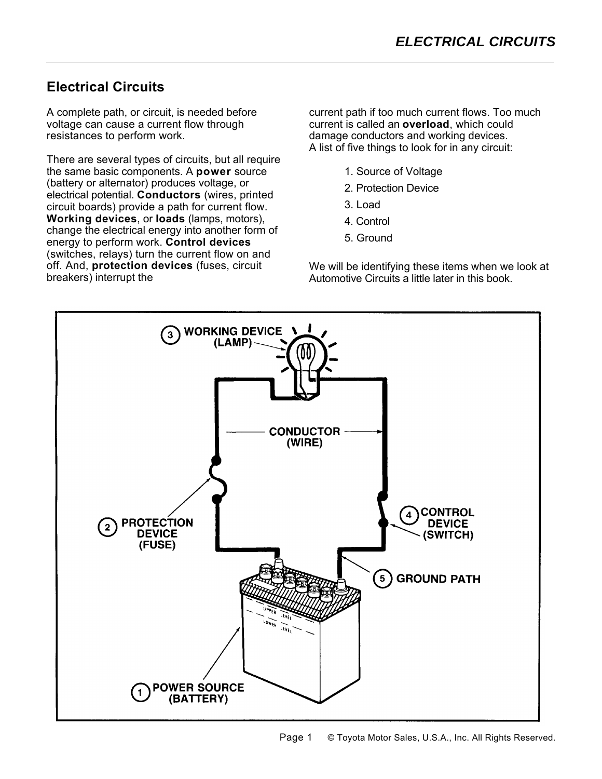## **Electrical Circuits**

A complete path, or circuit, is needed before voltage can cause a current flow through resistances to perform work.

There are several types of circuits, but all require the same basic components. A **power** source (battery or alternator) produces voltage, or electrical potential. **Conductors** (wires, printed circuit boards) provide a path for current flow. **Working devices**, or **loads** (lamps, motors), change the electrical energy into another form of energy to perform work. **Control devices** (switches, relays) turn the current flow on and off. And, **protection devices** (fuses, circuit breakers) interrupt the

current path if too much current flows. Too much current is called an **overload**, which could damage conductors and working devices. A list of five things to look for in any circuit:

- 1. Source of Voltage
- 2. Protection Device
- 3. Load
- 4. Control
- 5. Ground

We will be identifying these items when we look at Automotive Circuits a little later in this book.

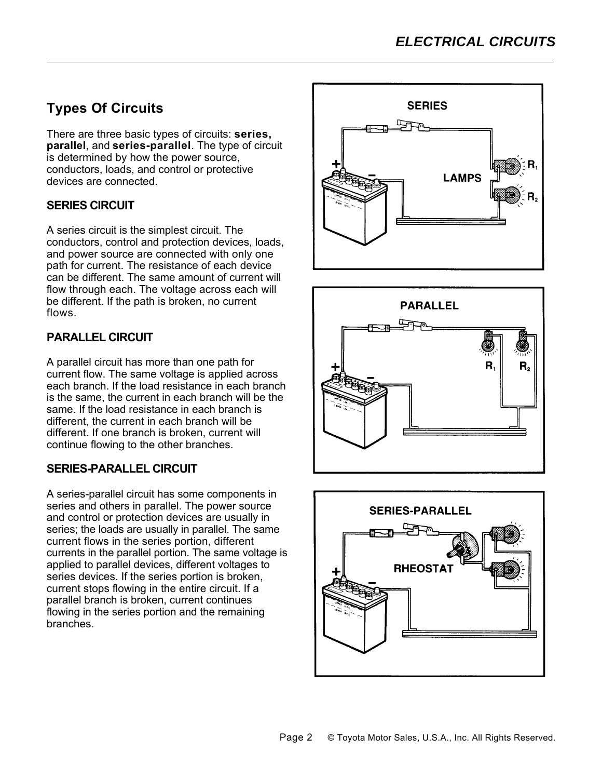# **Types Of Circuits**

There are three basic types of circuits: **series, parallel**, and **series-parallel**. The type of circuit is determined by how the power source, conductors, loads, and control or protective devices are connected.

### **SERIES CIRCUIT**

A series circuit is the simplest circuit. The conductors, control and protection devices, loads, and power source are connected with only one path for current. The resistance of each device can be different. The same amount of current will flow through each. The voltage across each will be different. If the path is broken, no current flows.

## **PARALLEL CIRCUIT**

A parallel circuit has more than one path for current flow. The same voltage is applied across each branch. If the load resistance in each branch is the same, the current in each branch will be the same. If the load resistance in each branch is different, the current in each branch will be different. If one branch is broken, current will continue flowing to the other branches.

### **SERIES-PARALLEL CIRCUIT**

A series-parallel circuit has some components in series and others in parallel. The power source and control or protection devices are usually in series; the loads are usually in parallel. The same current flows in the series portion, different currents in the parallel portion. The same voltage is applied to parallel devices, different voltages to series devices. If the series portion is broken, current stops flowing in the entire circuit. If a parallel branch is broken, current continues flowing in the series portion and the remaining branches.





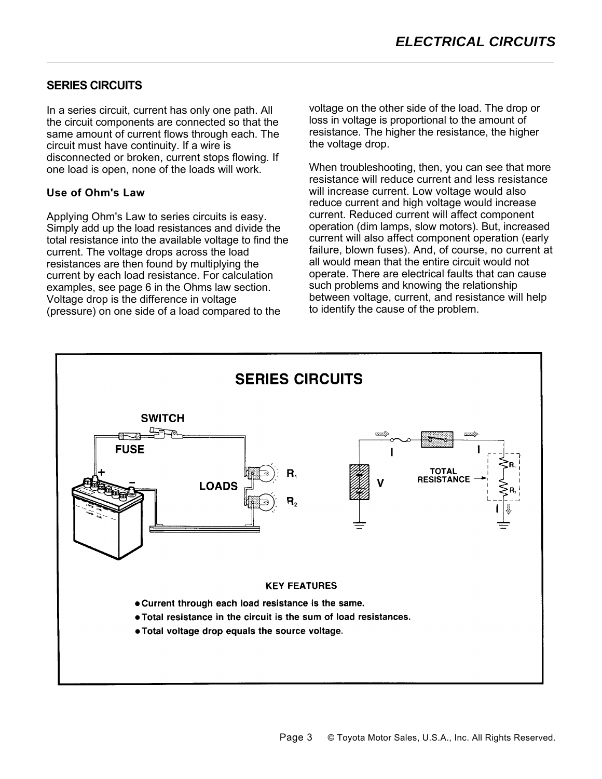#### **SERIES CIRCUITS**

In a series circuit, current has only one path. All the circuit components are connected so that the same amount of current flows through each. The circuit must have continuity. If a wire is disconnected or broken, current stops flowing. If one load is open, none of the loads will work.

#### **Use of Ohm's Law**

Applying Ohm's Law to series circuits is easy. Simply add up the load resistances and divide the total resistance into the available voltage to find the current. The voltage drops across the load resistances are then found by multiplying the current by each load resistance. For calculation examples, see page 6 in the Ohms law section. Voltage drop is the difference in voltage (pressure) on one side of a load compared to the

voltage on the other side of the load. The drop or loss in voltage is proportional to the amount of resistance. The higher the resistance, the higher the voltage drop.

When troubleshooting, then, you can see that more resistance will reduce current and less resistance will increase current. Low voltage would also reduce current and high voltage would increase current. Reduced current will affect component operation (dim lamps, slow motors). But, increased current will also affect component operation (early failure, blown fuses). And, of course, no current at all would mean that the entire circuit would not operate. There are electrical faults that can cause such problems and knowing the relationship between voltage, current, and resistance will help to identify the cause of the problem.

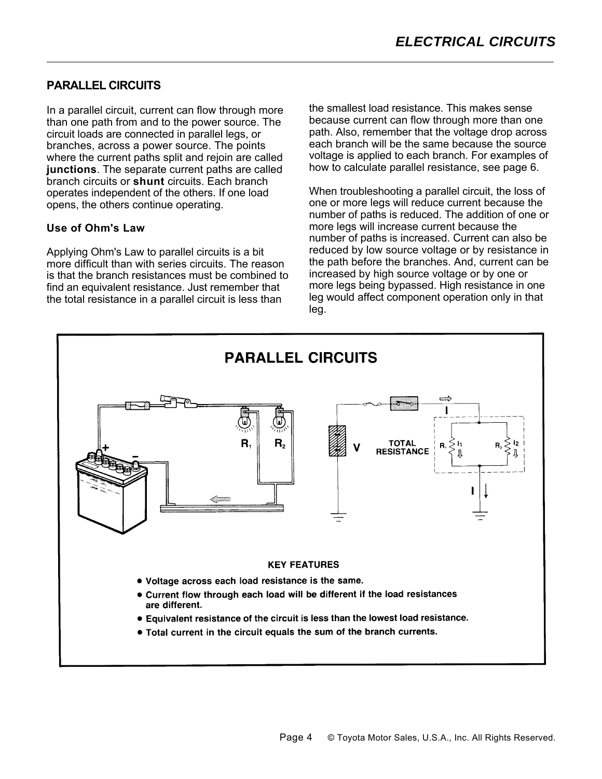#### **PARALLEL CIRCUITS**

In a parallel circuit, current can flow through more than one path from and to the power source. The circuit loads are connected in parallel legs, or branches, across a power source. The points where the current paths split and rejoin are called **junctions**. The separate current paths are called branch circuits or **shunt** circuits. Each branch operates independent of the others. If one load opens, the others continue operating.

#### **Use of Ohm's Law**

Applying Ohm's Law to parallel circuits is a bit more difficult than with series circuits. The reason is that the branch resistances must be combined to find an equivalent resistance. Just remember that the total resistance in a parallel circuit is less than

the smallest load resistance. This makes sense because current can flow through more than one path. Also, remember that the voltage drop across each branch will be the same because the source voltage is applied to each branch. For examples of how to calculate parallel resistance, see page 6.

When troubleshooting a parallel circuit, the loss of one or more legs will reduce current because the number of paths is reduced. The addition of one or more legs will increase current because the number of paths is increased. Current can also be reduced by low source voltage or by resistance in the path before the branches. And, current can be increased by high source voltage or by one or more legs being bypassed. High resistance in one leg would affect component operation only in that leg.

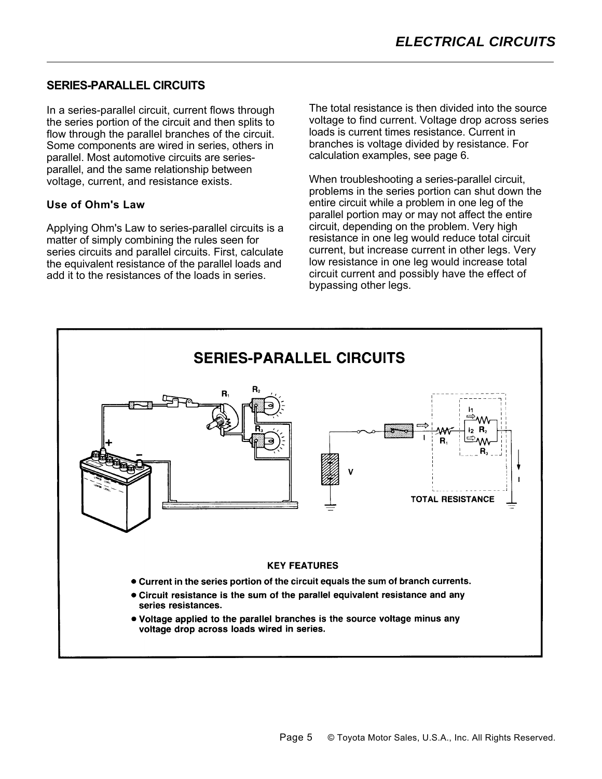#### **SERIES-PARALLEL CIRCUITS**

In a series-parallel circuit, current flows through the series portion of the circuit and then splits to flow through the parallel branches of the circuit. Some components are wired in series, others in parallel. Most automotive circuits are seriesparallel, and the same relationship between voltage, current, and resistance exists.

#### **Use of Ohm's Law**

Applying Ohm's Law to series-parallel circuits is a matter of simply combining the rules seen for series circuits and parallel circuits. First, calculate the equivalent resistance of the parallel loads and add it to the resistances of the loads in series.

The total resistance is then divided into the source voltage to find current. Voltage drop across series loads is current times resistance. Current in branches is voltage divided by resistance. For calculation examples, see page 6.

When troubleshooting a series-parallel circuit, problems in the series portion can shut down the entire circuit while a problem in one leg of the parallel portion may or may not affect the entire circuit, depending on the problem. Very high resistance in one leg would reduce total circuit current, but increase current in other legs. Very low resistance in one leg would increase total circuit current and possibly have the effect of bypassing other legs.

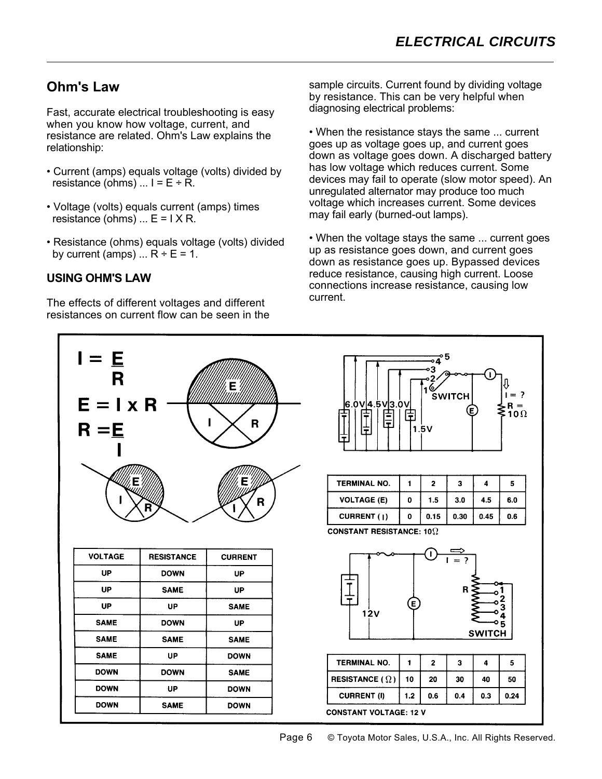## **Ohm's Law**

Fast, accurate electrical troubleshooting is easy when you know how voltage, current, and resistance are related. Ohm's Law explains the relationship:

- Current (amps) equals voltage (volts) divided by resistance (ohms)  $\dots$  I = E ÷ R.
- Voltage (volts) equals current (amps) times resistance (ohms)  $\ldots$  E = I X R.
- Resistance (ohms) equals voltage (volts) divided by current (amps)  $\ldots$  R ÷ E = 1.

#### **USING OHM'S LAW**

The effects of different voltages and different resistances on current flow can be seen in the sample circuits. Current found by dividing voltage by resistance. This can be very helpful when diagnosing electrical problems:

• When the resistance stays the same ... current goes up as voltage goes up, and current goes down as voltage goes down. A discharged battery has low voltage which reduces current. Some devices may fail to operate (slow motor speed). An unregulated alternator may produce too much voltage which increases current. Some devices may fail early (burned-out lamps).

• When the voltage stays the same ... current goes up as resistance goes down, and current goes down as resistance goes up. Bypassed devices reduce resistance, causing high current. Loose connections increase resistance, causing low current.



Page 6 **C** Toyota Motor Sales, U.S.A., Inc. All Rights Reserved.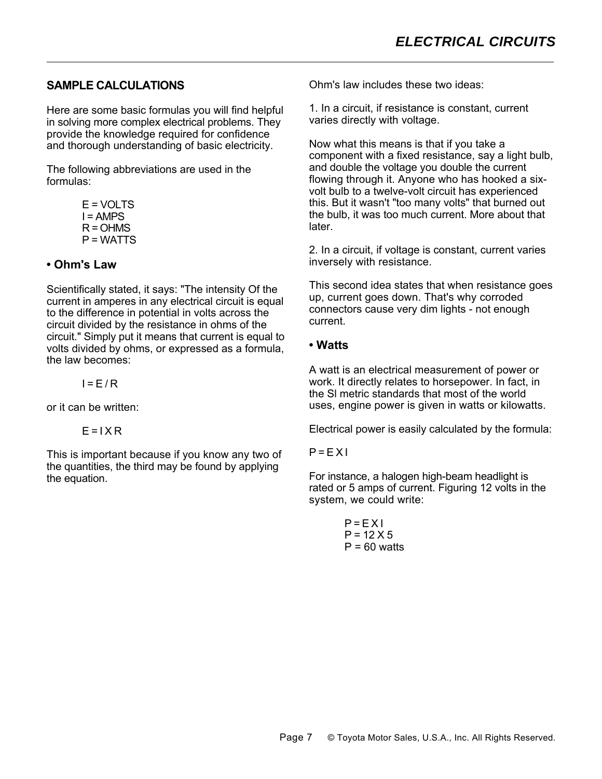#### **SAMPLE CALCULATIONS**

Here are some basic formulas you will find helpful in solving more complex electrical problems. They provide the knowledge required for confidence and thorough understanding of basic electricity.

The following abbreviations are used in the formulas:

E = VOLTS I = AMPS R = OHMS P = WATTS

#### **• Ohm's Law**

Scientifically stated, it says: "The intensity Of the current in amperes in any electrical circuit is equal to the difference in potential in volts across the circuit divided by the resistance in ohms of the circuit." Simply put it means that current is equal to volts divided by ohms, or expressed as a formula, the law becomes:

 $I = F/R$ 

or it can be written:

 $F = I X R$ 

This is important because if you know any two of the quantities, the third may be found by applying the equation.

Ohm's law includes these two ideas:

1. In a circuit, if resistance is constant, current varies directly with voltage.

Now what this means is that if you take a component with a fixed resistance, say a light bulb, and double the voltage you double the current flowing through it. Anyone who has hooked a sixvolt bulb to a twelve-volt circuit has experienced this. But it wasn't "too many volts" that burned out the bulb, it was too much current. More about that later.

2. In a circuit, if voltage is constant, current varies inversely with resistance.

This second idea states that when resistance goes up, current goes down. That's why corroded connectors cause very dim lights - not enough current.

#### **• Watts**

A watt is an electrical measurement of power or work. It directly relates to horsepower. In fact, in the Sl metric standards that most of the world uses, engine power is given in watts or kilowatts.

Electrical power is easily calculated by the formula:

#### $P = EXI$

For instance, a halogen high-beam headlight is rated or 5 amps of current. Figuring 12 volts in the system, we could write:

> $P = EXI$  $P = 12 X 5$  $P = 60$  watts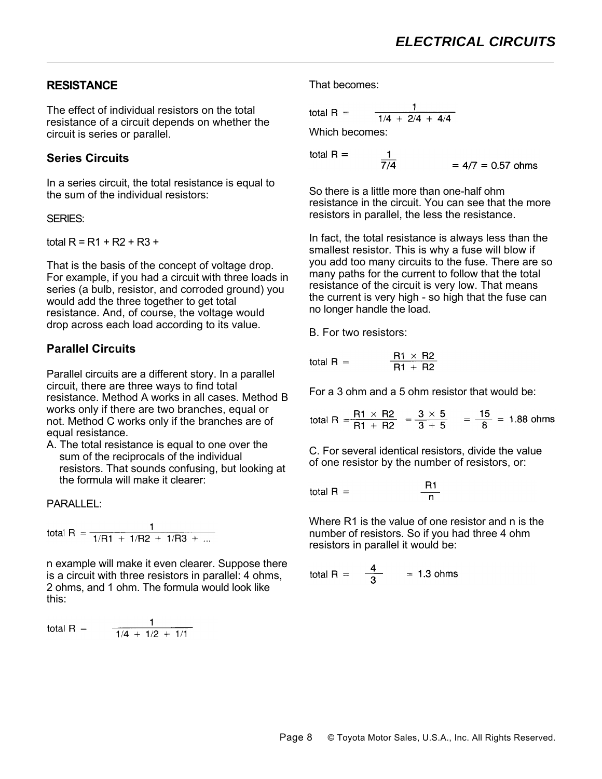#### **RESISTANCE**

The effect of individual resistors on the total resistance of a circuit depends on whether the circuit is series or parallel.

#### **Series Circuits**

In a series circuit, the total resistance is equal to the sum of the individual resistors:

#### SERIES:

total  $R = R1 + R2 + R3 +$ 

That is the basis of the concept of voltage drop. For example, if you had a circuit with three loads in series (a bulb, resistor, and corroded ground) you would add the three together to get total resistance. And, of course, the voltage would drop across each load according to its value.

## **Parallel Circuits**

Parallel circuits are a different story. In a parallel circuit, there are three ways to find total resistance. Method A works in all cases. Method B works only if there are two branches, equal or not. Method C works only if the branches are of equal resistance.

A. The total resistance is equal to one over the sum of the reciprocals of the individual resistors. That sounds confusing, but looking at the formula will make it clearer:

PARALLEL:

total R = 
$$
\frac{1}{1/R1 + 1/R2 + 1/R3 + ...}
$$

n example will make it even clearer. Suppose there is a circuit with three resistors in parallel: 4 ohms, 2 ohms, and 1 ohm. The formula would look like this:

total R = 
$$
\frac{1}{1/4 + 1/2 + 1/1}
$$

That becomes:

total R = 
$$
\frac{1}{1/4 + 2/4 + 4/4}
$$

 $\frac{1}{7/4}$ 

Which becomes:

total  $R =$ 

 $= 4/7 = 0.57$  ohms

So there is a little more than one-half ohm resistance in the circuit. You can see that the more resistors in parallel, the less the resistance.

In fact, the total resistance is always less than the smallest resistor. This is why a fuse will blow if you add too many circuits to the fuse. There are so many paths for the current to follow that the total resistance of the circuit is very low. That means the current is very high - so high that the fuse can no longer handle the load.

B. For two resistors:

total R = 
$$
\frac{R1 \times R2}{R1 + R2}
$$

For a 3 ohm and a 5 ohm resistor that would be:

total R =  $\frac{R1 \times R2}{R1 + R2}$  =  $\frac{3 \times 5}{3 + 5}$  =  $\frac{15}{8}$  = 1.88 ohms

C. For several identical resistors, divide the value of one resistor by the number of resistors, or:

total R = 
$$
\frac{R1}{n}
$$

Where R1 is the value of one resistor and n is the number of resistors. So if you had three 4 ohm resistors in parallel it would be:

total R = 
$$
\frac{4}{3}
$$
 = 1.3 ohms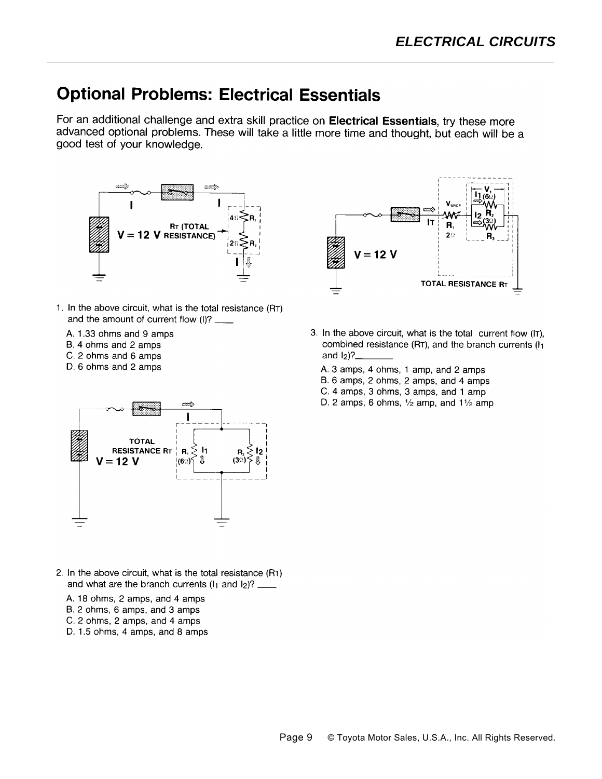# **Optional Problems: Electrical Essentials**

For an additional challenge and extra skill practice on Electrical Essentials, try these more advanced optional problems. These will take a little more time and thought, but each will be a good test of your knowledge.



- 1. In the above circuit, what is the total resistance (RT) and the amount of current flow (I)? \_\_\_\_
	- A. 1.33 ohms and 9 amps
	- B. 4 ohms and 2 amps

- C. 2 ohms and 6 amps
- D. 6 ohms and 2 amps



- 2. In the above circuit, what is the total resistance (RT) and what are the branch currents  $(I_1$  and  $I_2$ ? \_\_\_\_
	- A. 18 ohms, 2 amps, and 4 amps
	- B. 2 ohms, 6 amps, and 3 amps
	- C. 2 ohms, 2 amps, and 4 amps
	- D. 1.5 ohms, 4 amps, and 8 amps



- 3. In the above circuit, what is the total current flow (IT), combined resistance (RT), and the branch currents (I1 and  $I_2$ ?
	- A. 3 amps, 4 ohms, 1 amp, and 2 amps
	- B. 6 amps, 2 ohms, 2 amps, and 4 amps
	- C. 4 amps, 3 ohms, 3 amps, and 1 amp
	- D. 2 amps, 6 ohms,  $\frac{1}{2}$  amp, and  $\frac{1}{2}$  amp